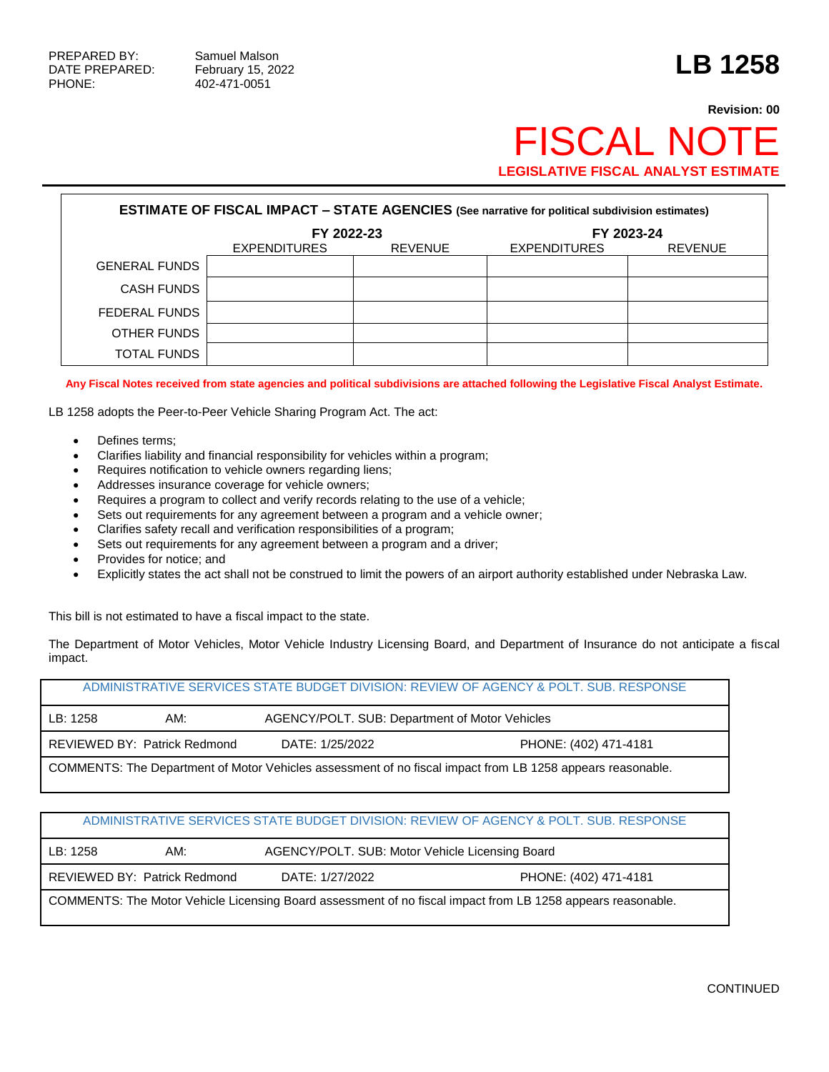## **Revision: 00** FISCAL NOT **LEGISLATIVE FISCAL ANALYST ESTIMATE**

| <b>ESTIMATE OF FISCAL IMPACT - STATE AGENCIES (See narrative for political subdivision estimates)</b> |                     |                |                     |                |  |  |  |
|-------------------------------------------------------------------------------------------------------|---------------------|----------------|---------------------|----------------|--|--|--|
|                                                                                                       | FY 2023-24          |                |                     |                |  |  |  |
|                                                                                                       | <b>EXPENDITURES</b> | <b>REVENUE</b> | <b>EXPENDITURES</b> | <b>REVENUE</b> |  |  |  |
| <b>GENERAL FUNDS</b>                                                                                  |                     |                |                     |                |  |  |  |
| <b>CASH FUNDS</b>                                                                                     |                     |                |                     |                |  |  |  |
| FEDERAL FUNDS                                                                                         |                     |                |                     |                |  |  |  |
| OTHER FUNDS                                                                                           |                     |                |                     |                |  |  |  |
| <b>TOTAL FUNDS</b>                                                                                    |                     |                |                     |                |  |  |  |

**Any Fiscal Notes received from state agencies and political subdivisions are attached following the Legislative Fiscal Analyst Estimate.**

LB 1258 adopts the Peer-to-Peer Vehicle Sharing Program Act. The act:

- Defines terms;
- Clarifies liability and financial responsibility for vehicles within a program;
- Requires notification to vehicle owners regarding liens;
- Addresses insurance coverage for vehicle owners;
- Requires a program to collect and verify records relating to the use of a vehicle;
- Sets out requirements for any agreement between a program and a vehicle owner;
- Clarifies safety recall and verification responsibilities of a program;
- Sets out requirements for any agreement between a program and a driver;
- Provides for notice; and
- Explicitly states the act shall not be construed to limit the powers of an airport authority established under Nebraska Law.

This bill is not estimated to have a fiscal impact to the state.

The Department of Motor Vehicles, Motor Vehicle Industry Licensing Board, and Department of Insurance do not anticipate a fiscal impact.

| ADMINISTRATIVE SERVICES STATE BUDGET DIVISION: REVIEW OF AGENCY & POLT. SUB. RESPONSE                      |  |  |  |  |  |  |
|------------------------------------------------------------------------------------------------------------|--|--|--|--|--|--|
| AGENCY/POLT. SUB: Department of Motor Vehicles<br>LB: 1258<br>AM:                                          |  |  |  |  |  |  |
| REVIEWED BY: Patrick Redmond<br>DATE: 1/25/2022<br>PHONE: (402) 471-4181                                   |  |  |  |  |  |  |
| COMMENTS: The Department of Motor Vehicles assessment of no fiscal impact from LB 1258 appears reasonable. |  |  |  |  |  |  |

## ADMINISTRATIVE SERVICES STATE BUDGET DIVISION: REVIEW OF AGENCY & POLT. SUB. RESPONSE

| LB: 1258 | AM:                          | AGENCY/POLT. SUB: Motor Vehicle Licensing Board |                                                                                                             |  |  |  |
|----------|------------------------------|-------------------------------------------------|-------------------------------------------------------------------------------------------------------------|--|--|--|
|          | REVIEWED BY: Patrick Redmond | DATE: 1/27/2022                                 | PHONE: (402) 471-4181                                                                                       |  |  |  |
|          |                              |                                                 | COMMENTS: The Motor Vehicle Licensing Board assessment of no fiscal impact from LB 1258 appears reasonable. |  |  |  |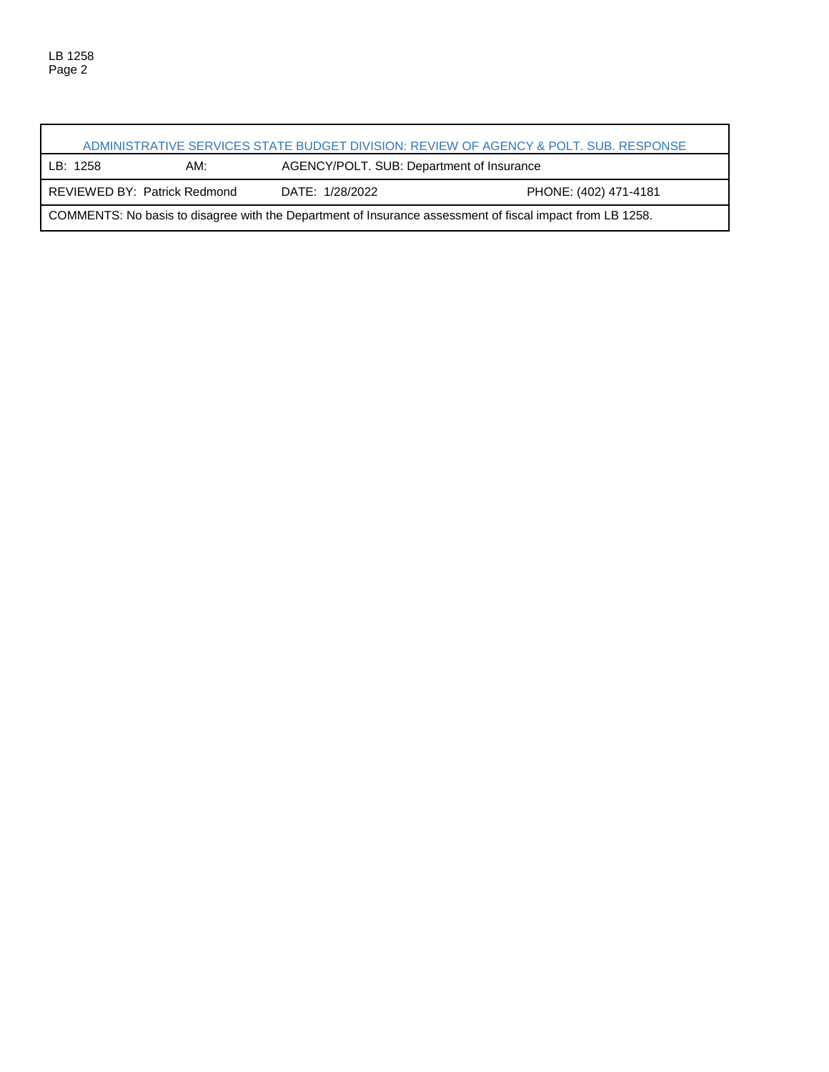ï

| ADMINISTRATIVE SERVICES STATE BUDGET DIVISION: REVIEW OF AGENCY & POLT. SUB. RESPONSE                     |                                                                                 |  |  |  |  |  |  |
|-----------------------------------------------------------------------------------------------------------|---------------------------------------------------------------------------------|--|--|--|--|--|--|
| AGENCY/POLT. SUB: Department of Insurance<br>AM:<br>LB: 1258                                              |                                                                                 |  |  |  |  |  |  |
|                                                                                                           | <b>REVIEWED BY: Patrick Redmond</b><br>DATE: 1/28/2022<br>PHONE: (402) 471-4181 |  |  |  |  |  |  |
| COMMENTS: No basis to disagree with the Department of Insurance assessment of fiscal impact from LB 1258. |                                                                                 |  |  |  |  |  |  |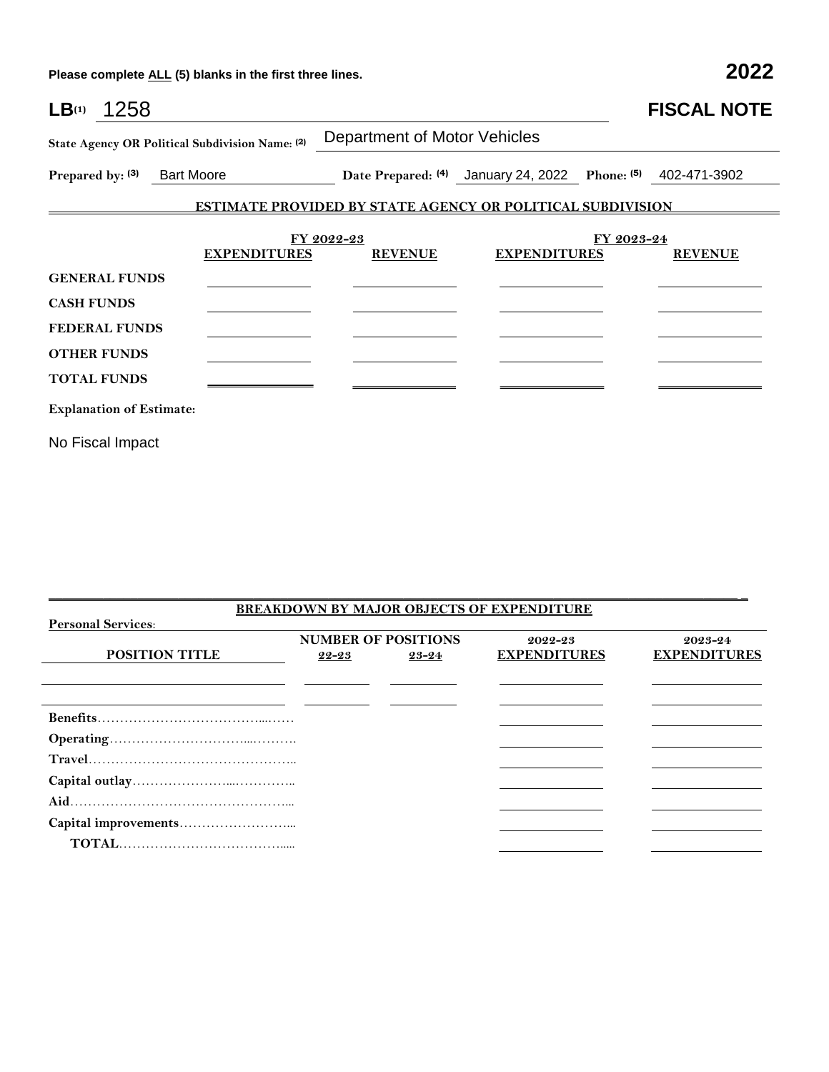**Please complete ALL (5) blanks in the first three lines. 2022**

| LB <sub>(1)</sub><br>1258       |                                                 |                                                                   |                                                             |            | <b>FISCAL NOTE</b> |
|---------------------------------|-------------------------------------------------|-------------------------------------------------------------------|-------------------------------------------------------------|------------|--------------------|
|                                 | State Agency OR Political Subdivision Name: (2) | <b>Department of Motor Vehicles</b>                               |                                                             |            |                    |
| Prepared by: (3) Bart Moore     |                                                 |                                                                   | Date Prepared: (4) January 24, 2022 Phone: (5) 402-471-3902 |            |                    |
|                                 |                                                 | <b>ESTIMATE PROVIDED BY STATE AGENCY OR POLITICAL SUBDIVISION</b> |                                                             |            |                    |
|                                 | <b>EXPENDITURES</b>                             | FY 2022-23<br><b>REVENUE</b>                                      | <b>EXPENDITURES</b>                                         | FY 2023-24 | <b>REVENUE</b>     |
| <b>GENERAL FUNDS</b>            |                                                 |                                                                   |                                                             |            |                    |
| <b>CASH FUNDS</b>               |                                                 |                                                                   |                                                             |            |                    |
| <b>FEDERAL FUNDS</b>            |                                                 |                                                                   |                                                             |            |                    |
| <b>OTHER FUNDS</b>              |                                                 |                                                                   |                                                             |            |                    |
| <b>TOTAL FUNDS</b>              |                                                 |                                                                   |                                                             |            |                    |
| <b>Explanation of Estimate:</b> |                                                 |                                                                   |                                                             |            |                    |
| No Fiscal Impact                |                                                 |                                                                   |                                                             |            |                    |

|                           |                            |           | <b>BREAKDOWN BY MAJOR OBJECTS OF EXPENDITURE</b> |                     |  |
|---------------------------|----------------------------|-----------|--------------------------------------------------|---------------------|--|
| <b>Personal Services:</b> |                            |           |                                                  |                     |  |
|                           | <b>NUMBER OF POSITIONS</b> |           | 2022-23                                          | 2023-24             |  |
| <b>POSITION TITLE</b>     | $22 - 23$                  | $23 - 24$ | <b>EXPENDITURES</b>                              | <b>EXPENDITURES</b> |  |
|                           |                            |           |                                                  |                     |  |
|                           |                            |           |                                                  |                     |  |
|                           |                            |           |                                                  |                     |  |
|                           |                            |           |                                                  |                     |  |
|                           |                            |           |                                                  |                     |  |
|                           |                            |           |                                                  |                     |  |
|                           |                            |           |                                                  |                     |  |
|                           |                            |           |                                                  |                     |  |
|                           |                            |           |                                                  |                     |  |
|                           |                            |           |                                                  |                     |  |
|                           |                            |           |                                                  |                     |  |

 $\mathcal{L}_\mathcal{L} = \{ \mathcal{L}_\mathcal{L} = \{ \mathcal{L}_\mathcal{L} = \{ \mathcal{L}_\mathcal{L} = \{ \mathcal{L}_\mathcal{L} = \{ \mathcal{L}_\mathcal{L} = \{ \mathcal{L}_\mathcal{L} = \{ \mathcal{L}_\mathcal{L} = \{ \mathcal{L}_\mathcal{L} = \{ \mathcal{L}_\mathcal{L} = \{ \mathcal{L}_\mathcal{L} = \{ \mathcal{L}_\mathcal{L} = \{ \mathcal{L}_\mathcal{L} = \{ \mathcal{L}_\mathcal{L} = \{ \mathcal{L}_\mathcal{$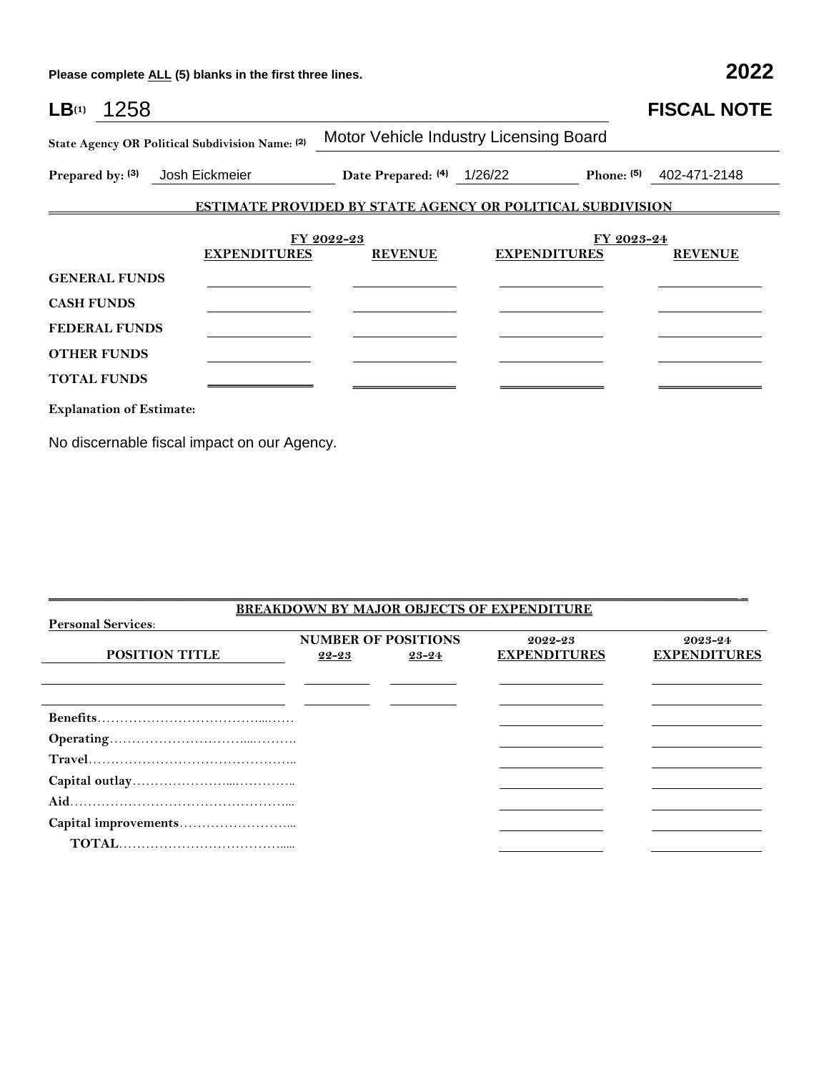**Please complete ALL (5) blanks in the first three lines. 2022**

| LB <sub>(1)</sub> | 1258                            |                                                            |                                                                   |                                        |                                   | <b>FISCAL NOTE</b>        |  |  |
|-------------------|---------------------------------|------------------------------------------------------------|-------------------------------------------------------------------|----------------------------------------|-----------------------------------|---------------------------|--|--|
|                   |                                 | State Agency OR Political Subdivision Name: (2)            |                                                                   | Motor Vehicle Industry Licensing Board |                                   |                           |  |  |
|                   |                                 | Prepared by: (3) Josh Eickmeier Date Prepared: (4) 1/26/22 |                                                                   |                                        |                                   | Phone: $(5)$ 402-471-2148 |  |  |
|                   |                                 |                                                            | <b>ESTIMATE PROVIDED BY STATE AGENCY OR POLITICAL SUBDIVISION</b> |                                        |                                   |                           |  |  |
|                   |                                 | <b>EXPENDITURES</b>                                        | FY 2022-23<br><b>REVENUE</b>                                      |                                        | FY 2023-24<br><b>EXPENDITURES</b> | <b>REVENUE</b>            |  |  |
|                   | <b>GENERAL FUNDS</b>            |                                                            |                                                                   |                                        |                                   |                           |  |  |
| <b>CASH FUNDS</b> |                                 |                                                            |                                                                   |                                        |                                   |                           |  |  |
|                   | <b>FEDERAL FUNDS</b>            |                                                            |                                                                   |                                        |                                   |                           |  |  |
|                   | <b>OTHER FUNDS</b>              |                                                            |                                                                   |                                        |                                   |                           |  |  |
|                   | <b>TOTAL FUNDS</b>              |                                                            |                                                                   |                                        |                                   |                           |  |  |
|                   | <b>Explanation of Estimate:</b> |                                                            |                                                                   |                                        |                                   |                           |  |  |

No discernable fiscal impact on our Agency.

|       |       | 2022-23                    | 2023-24                                          |
|-------|-------|----------------------------|--------------------------------------------------|
| 22-23 | 23-24 | <b>EXPENDITURES</b>        | <b>EXPENDITURES</b>                              |
|       |       |                            |                                                  |
|       |       |                            |                                                  |
|       |       |                            |                                                  |
|       |       |                            |                                                  |
|       |       |                            |                                                  |
|       |       |                            |                                                  |
|       |       |                            |                                                  |
|       |       |                            |                                                  |
|       |       |                            |                                                  |
|       |       |                            |                                                  |
|       |       |                            |                                                  |
|       |       | <b>NUMBER OF POSITIONS</b> | <b>BREAKDOWN BY MAJOR OBJECTS OF EXPENDITURE</b> |

 $\mathcal{L}_\mathcal{L} = \{ \mathcal{L}_\mathcal{L} = \{ \mathcal{L}_\mathcal{L} = \{ \mathcal{L}_\mathcal{L} = \{ \mathcal{L}_\mathcal{L} = \{ \mathcal{L}_\mathcal{L} = \{ \mathcal{L}_\mathcal{L} = \{ \mathcal{L}_\mathcal{L} = \{ \mathcal{L}_\mathcal{L} = \{ \mathcal{L}_\mathcal{L} = \{ \mathcal{L}_\mathcal{L} = \{ \mathcal{L}_\mathcal{L} = \{ \mathcal{L}_\mathcal{L} = \{ \mathcal{L}_\mathcal{L} = \{ \mathcal{L}_\mathcal{$